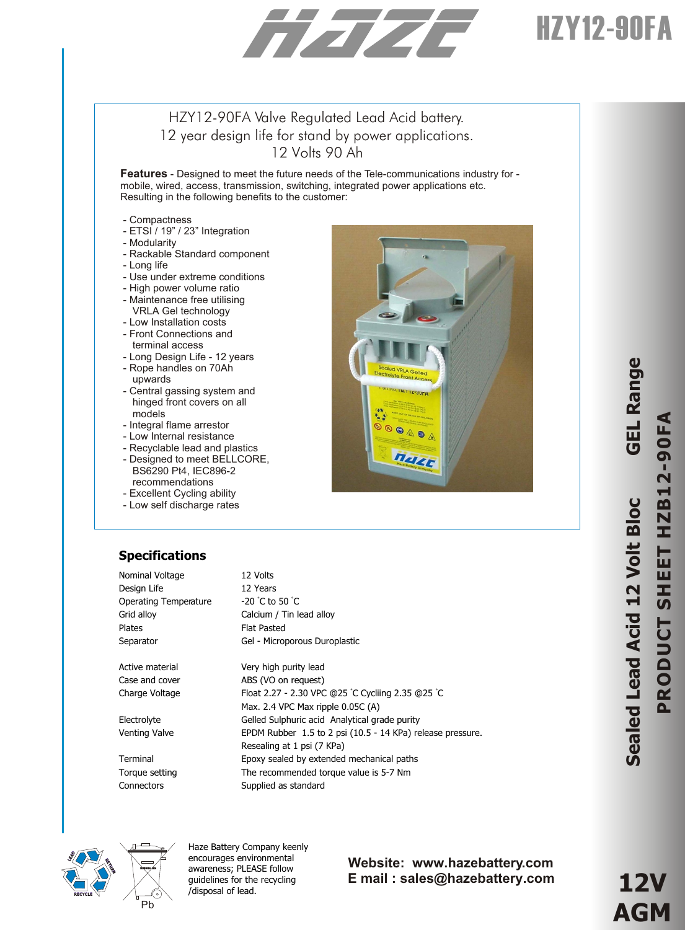# HZY12-90FA

### HZY12-90FA Valve Regulated Lead Acid battery. 12 year design life for stand by power applications. 12 Volts 90 Ah

**Features** - Designed to meet the future needs of the Tele-communications industry for mobile, wired, access, transmission, switching, integrated power applications etc. Resulting in the following benefits to the customer:

- Compactness
- ETSI / 19" / 23" Integration
- Modularity
- Rackable Standard component
- Long life
- Use under extreme conditions
- High power volume ratio
- Maintenance free utilising
- VRLA Gel technology
- Low Installation costs
- Front Connections and terminal access
- Long Design Life 12 years - Rope handles on 70Ah
- upwards - Central gassing system and
- hinged front covers on all models
- Integral flame arrestor
- Low Internal resistance
- Recyclable lead and plastics
- Designed to meet BELLCORE, BS6290 Pt4, IEC896-2 recommendations
- Excellent Cycling ability
- Low self discharge rates

## **Specifications**

| Nominal Voltage       | 12 Volts                                                   |
|-----------------------|------------------------------------------------------------|
| Design Life           | 12 Years                                                   |
| Operating Temperature | $-20$ °C to 50 °C                                          |
| Grid alloy            | Calcium / Tin lead alloy                                   |
| <b>Plates</b>         | <b>Flat Pasted</b>                                         |
| Separator             | Gel - Microporous Duroplastic                              |
|                       |                                                            |
| Active material       | Very high purity lead                                      |
| Case and cover        | ABS (VO on request)                                        |
| Charge Voltage        | Float 2.27 - 2.30 VPC @25 °C Cycliing 2.35 @25 °C          |
|                       | Max. 2.4 VPC Max ripple 0.05C (A)                          |
| Electrolyte           | Gelled Sulphuric acid Analytical grade purity              |
| Venting Valve         | EPDM Rubber 1.5 to 2 psi (10.5 - 14 KPa) release pressure. |
|                       | Resealing at 1 psi (7 KPa)                                 |
| Terminal              | Epoxy sealed by extended mechanical paths                  |
| Torque setting        | The recommended torque value is 5-7 Nm                     |



Haze Battery Company keenly encourages environmental awareness; PLEASE follow guidelines for the recycling /disposal of lead.

Connectors Supplied as standard

#### **Website: www.hazebattery.com E mail : sales@hazebattery.com**

nazz

**e**